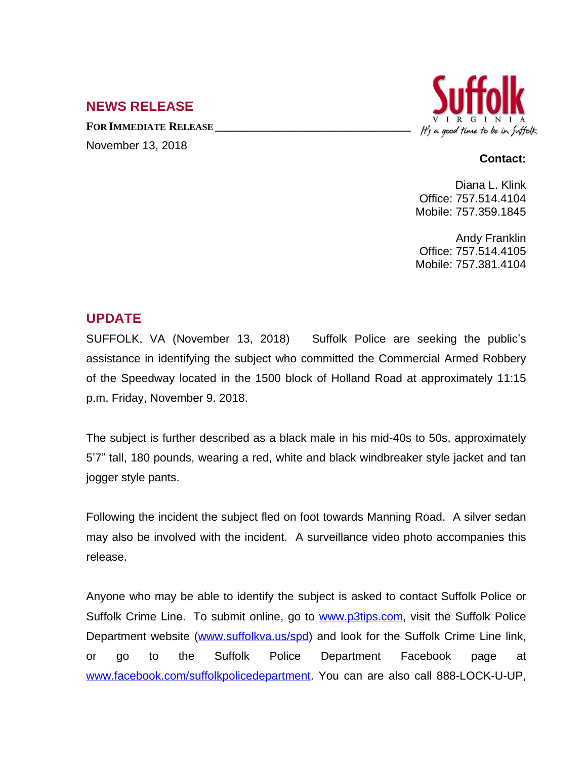## **NEWS RELEASE**

**FOR IMMEDIATE RELEASE \_\_\_\_\_\_\_\_\_\_\_\_\_\_\_\_\_\_\_\_\_\_\_\_\_\_\_\_\_\_\_\_\_\_**

November 13, 2018



## **Contact:**

Diana L. Klink Office: 757.514.4104 Mobile: 757.359.1845

Andy Franklin Office: 757.514.4105 Mobile: 757.381.4104

## **UPDATE**

SUFFOLK, VA (November 13, 2018) Suffolk Police are seeking the public's assistance in identifying the subject who committed the Commercial Armed Robbery of the Speedway located in the 1500 block of Holland Road at approximately 11:15 p.m. Friday, November 9. 2018.

The subject is further described as a black male in his mid-40s to 50s, approximately 5'7" tall, 180 pounds, wearing a red, white and black windbreaker style jacket and tan jogger style pants.

Following the incident the subject fled on foot towards Manning Road. A silver sedan may also be involved with the incident. A surveillance video photo accompanies this release.

Anyone who may be able to identify the subject is asked to contact Suffolk Police or Suffolk Crime Line. To submit online, go to [www.p3tips.com](http://www.p3tips.com), visit the Suffolk Police Department website ([www.suffolkva.us/spd](http://www.suffolkva.us/spd)) and look for the Suffolk Crime Line link, or go to the Suffolk Police Department Facebook page at [www.facebook.com/suffolkpolicedepartment](http://www.facebook.com/suffolkpolicedepartment). You can are also call 888-LOCK-U-UP,